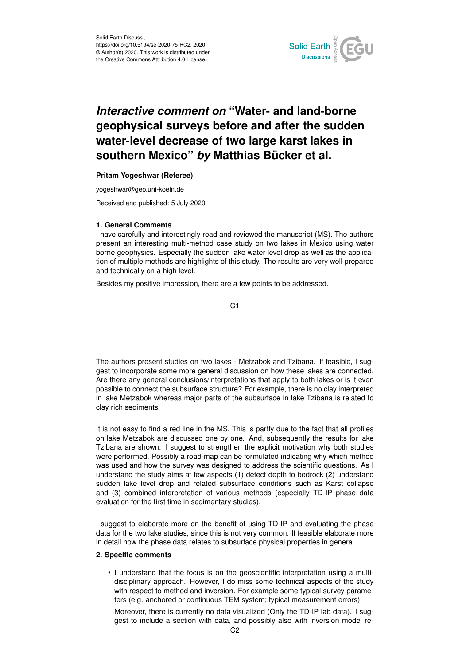

# *Interactive comment on* **"Water- and land-borne geophysical surveys before and after the sudden water-level decrease of two large karst lakes in southern Mexico"** *by* **Matthias Bücker et al.**

## **Pritam Yogeshwar (Referee)**

yogeshwar@geo.uni-koeln.de

Received and published: 5 July 2020

## **1. General Comments**

I have carefully and interestingly read and reviewed the manuscript (MS). The authors present an interesting multi-method case study on two lakes in Mexico using water borne geophysics. Especially the sudden lake water level drop as well as the application of multiple methods are highlights of this study. The results are very well prepared and technically on a high level.

Besides my positive impression, there are a few points to be addressed.

C<sub>1</sub>

The authors present studies on two lakes - Metzabok and Tzibana. If feasible, I suggest to incorporate some more general discussion on how these lakes are connected. Are there any general conclusions/interpretations that apply to both lakes or is it even possible to connect the subsurface structure? For example, there is no clay interpreted in lake Metzabok whereas major parts of the subsurface in lake Tzibana is related to clay rich sediments.

It is not easy to find a red line in the MS. This is partly due to the fact that all profiles on lake Metzabok are discussed one by one. And, subsequently the results for lake Tzibana are shown. I suggest to strengthen the explicit motivation why both studies were performed. Possibly a road-map can be formulated indicating why which method was used and how the survey was designed to address the scientific questions. As I understand the study aims at few aspects (1) detect depth to bedrock (2) understand sudden lake level drop and related subsurface conditions such as Karst collapse and (3) combined interpretation of various methods (especially TD-IP phase data evaluation for the first time in sedimentary studies).

I suggest to elaborate more on the benefit of using TD-IP and evaluating the phase data for the two lake studies, since this is not very common. If feasible elaborate more in detail how the phase data relates to subsurface physical properties in general.

## **2. Specific comments**

• I understand that the focus is on the geoscientific interpretation using a multidisciplinary approach. However, I do miss some technical aspects of the study with respect to method and inversion. For example some typical survey parameters (e.g. anchored or continuous TEM system; typical measurement errors).

Moreover, there is currently no data visualized (Only the TD-IP lab data). I suggest to include a section with data, and possibly also with inversion model re-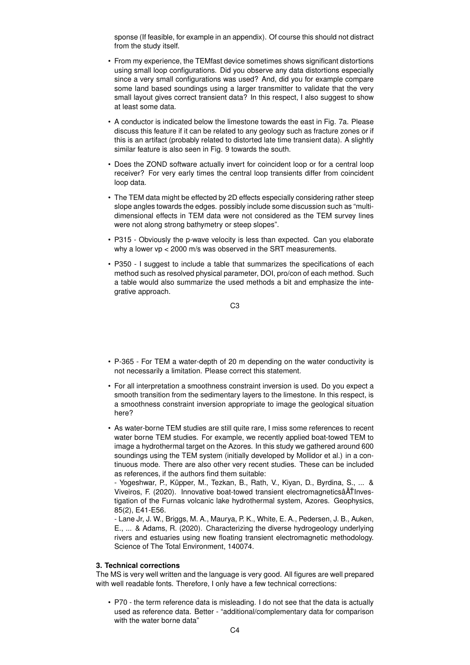sponse (If feasible, for example in an appendix). Of course this should not distract from the study itself.

- From my experience, the TEMfast device sometimes shows significant distortions using small loop configurations. Did you observe any data distortions especially since a very small configurations was used? And, did you for example compare some land based soundings using a larger transmitter to validate that the very small layout gives correct transient data? In this respect, I also suggest to show at least some data.
- A conductor is indicated below the limestone towards the east in Fig. 7a. Please discuss this feature if it can be related to any geology such as fracture zones or if this is an artifact (probably related to distorted late time transient data). A slightly similar feature is also seen in Fig. 9 towards the south.
- Does the ZOND software actually invert for coincident loop or for a central loop receiver? For very early times the central loop transients differ from coincident loop data.
- The TEM data might be effected by 2D effects especially considering rather steep slope angles towards the edges. possibly include some discussion such as "multidimensional effects in TEM data were not considered as the TEM survey lines were not along strong bathymetry or steep slopes".
- P315 Obviously the p-wave velocity is less than expected. Can you elaborate why a lower vp < 2000 m/s was observed in the SRT measurements.
- P350 I suggest to include a table that summarizes the specifications of each method such as resolved physical parameter, DOI, pro/con of each method. Such a table would also summarize the used methods a bit and emphasize the integrative approach.

C3

- P-365 For TEM a water-depth of 20 m depending on the water conductivity is not necessarily a limitation. Please correct this statement.
- For all interpretation a smoothness constraint inversion is used. Do you expect a smooth transition from the sedimentary layers to the limestone. In this respect, is a smoothness constraint inversion appropriate to image the geological situation here?
- As water-borne TEM studies are still quite rare, I miss some references to recent water borne TEM studies. For example, we recently applied boat-towed TEM to image a hydrothermal target on the Azores. In this study we gathered around 600 soundings using the TEM system (initially developed by Mollidor et al.) in a continuous mode. There are also other very recent studies. These can be included as references, if the authors find them suitable:

- Yogeshwar, P., Küpper, M., Tezkan, B., Rath, V., Kiyan, D., Byrdina, S., ... & Viveiros, F. (2020). Innovative boat-towed transient electromagneticsâA˘TInves- ˇ tigation of the Furnas volcanic lake hydrothermal system, Azores. Geophysics, 85(2), E41-E56.

- Lane Jr, J. W., Briggs, M. A., Maurya, P. K., White, E. A., Pedersen, J. B., Auken, E., ... & Adams, R. (2020). Characterizing the diverse hydrogeology underlying rivers and estuaries using new floating transient electromagnetic methodology. Science of The Total Environment, 140074.

## **3. Technical corrections**

The MS is very well written and the language is very good. All figures are well prepared with well readable fonts. Therefore, I only have a few technical corrections:

• P70 - the term reference data is misleading. I do not see that the data is actually used as reference data. Better - "additional/complementary data for comparison with the water borne data"